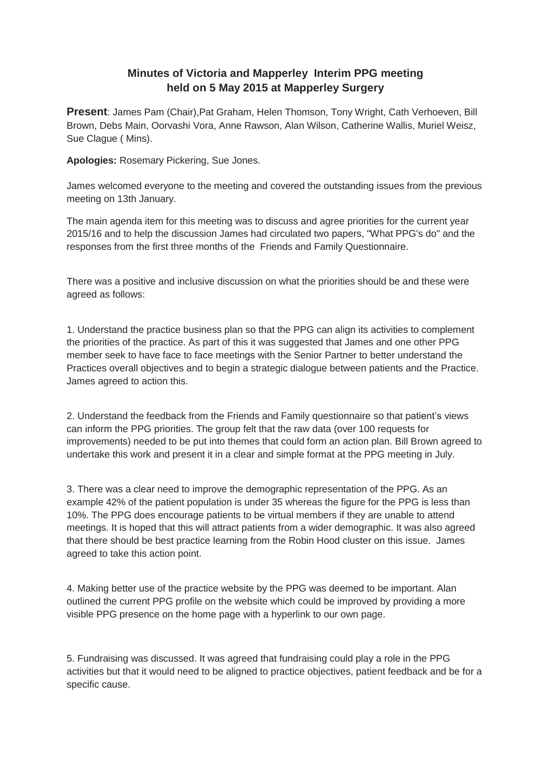## **Minutes of Victoria and Mapperley Interim PPG meeting held on 5 May 2015 at Mapperley Surgery**

**Present**: James Pam (Chair),Pat Graham, Helen Thomson, Tony Wright, Cath Verhoeven, Bill Brown, Debs Main, Oorvashi Vora, Anne Rawson, Alan Wilson, Catherine Wallis, Muriel Weisz, Sue Clague ( Mins).

**Apologies:** Rosemary Pickering, Sue Jones.

James welcomed everyone to the meeting and covered the outstanding issues from the previous meeting on 13th January.

The main agenda item for this meeting was to discuss and agree priorities for the current year 2015/16 and to help the discussion James had circulated two papers, "What PPG's do" and the responses from the first three months of the Friends and Family Questionnaire.

There was a positive and inclusive discussion on what the priorities should be and these were agreed as follows:

1. Understand the practice business plan so that the PPG can align its activities to complement the priorities of the practice. As part of this it was suggested that James and one other PPG member seek to have face to face meetings with the Senior Partner to better understand the Practices overall objectives and to begin a strategic dialogue between patients and the Practice. James agreed to action this.

2. Understand the feedback from the Friends and Family questionnaire so that patient's views can inform the PPG priorities. The group felt that the raw data (over 100 requests for improvements) needed to be put into themes that could form an action plan. Bill Brown agreed to undertake this work and present it in a clear and simple format at the PPG meeting in July.

3. There was a clear need to improve the demographic representation of the PPG. As an example 42% of the patient population is under 35 whereas the figure for the PPG is less than 10%. The PPG does encourage patients to be virtual members if they are unable to attend meetings. It is hoped that this will attract patients from a wider demographic. It was also agreed that there should be best practice learning from the Robin Hood cluster on this issue. James agreed to take this action point.

4. Making better use of the practice website by the PPG was deemed to be important. Alan outlined the current PPG profile on the website which could be improved by providing a more visible PPG presence on the home page with a hyperlink to our own page.

5. Fundraising was discussed. It was agreed that fundraising could play a role in the PPG activities but that it would need to be aligned to practice objectives, patient feedback and be for a specific cause.